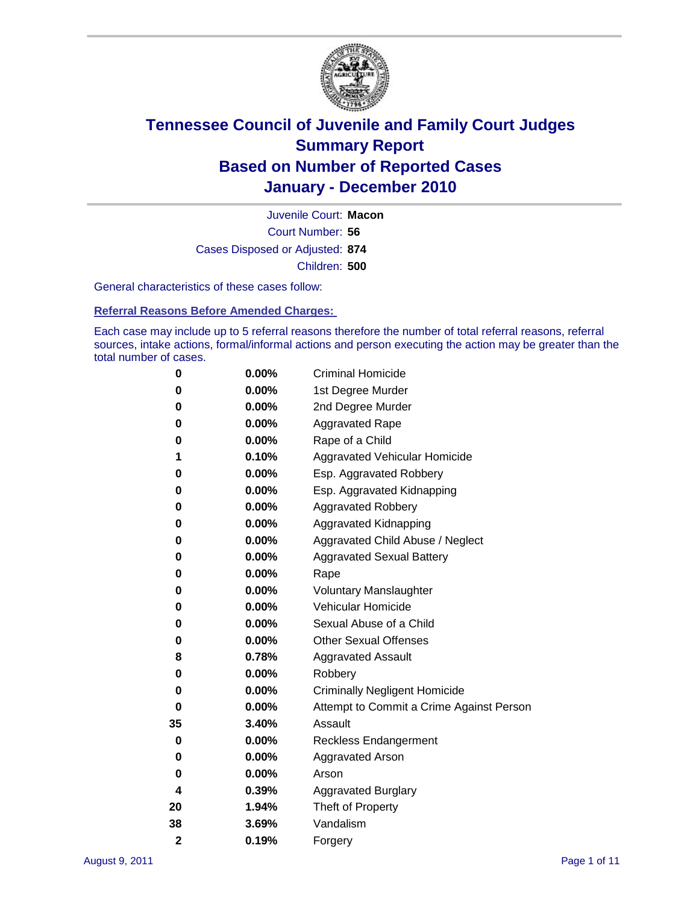

Court Number: **56** Juvenile Court: **Macon** Cases Disposed or Adjusted: **874** Children: **500**

General characteristics of these cases follow:

**Referral Reasons Before Amended Charges:** 

Each case may include up to 5 referral reasons therefore the number of total referral reasons, referral sources, intake actions, formal/informal actions and person executing the action may be greater than the total number of cases.

| 0              | 0.00% | <b>Criminal Homicide</b>                 |  |  |  |  |
|----------------|-------|------------------------------------------|--|--|--|--|
| 0              | 0.00% | 1st Degree Murder                        |  |  |  |  |
| 0              | 0.00% | 2nd Degree Murder                        |  |  |  |  |
| 0              | 0.00% | <b>Aggravated Rape</b>                   |  |  |  |  |
| 0              | 0.00% | Rape of a Child                          |  |  |  |  |
| 1              | 0.10% | Aggravated Vehicular Homicide            |  |  |  |  |
| 0              | 0.00% | Esp. Aggravated Robbery                  |  |  |  |  |
| 0              | 0.00% | Esp. Aggravated Kidnapping               |  |  |  |  |
| 0              | 0.00% | Aggravated Robbery                       |  |  |  |  |
| 0              | 0.00% | Aggravated Kidnapping                    |  |  |  |  |
| 0              | 0.00% | Aggravated Child Abuse / Neglect         |  |  |  |  |
| 0              | 0.00% | <b>Aggravated Sexual Battery</b>         |  |  |  |  |
| 0              | 0.00% | Rape                                     |  |  |  |  |
| 0              | 0.00% | <b>Voluntary Manslaughter</b>            |  |  |  |  |
| 0              | 0.00% | Vehicular Homicide                       |  |  |  |  |
| 0              | 0.00% | Sexual Abuse of a Child                  |  |  |  |  |
| 0              | 0.00% | <b>Other Sexual Offenses</b>             |  |  |  |  |
| 8              | 0.78% | <b>Aggravated Assault</b>                |  |  |  |  |
| 0              | 0.00% | Robbery                                  |  |  |  |  |
| 0              | 0.00% | <b>Criminally Negligent Homicide</b>     |  |  |  |  |
| 0              | 0.00% | Attempt to Commit a Crime Against Person |  |  |  |  |
| 35             | 3.40% | Assault                                  |  |  |  |  |
| 0              | 0.00% | <b>Reckless Endangerment</b>             |  |  |  |  |
| 0              | 0.00% | <b>Aggravated Arson</b>                  |  |  |  |  |
| 0              | 0.00% | Arson                                    |  |  |  |  |
| 4              | 0.39% | <b>Aggravated Burglary</b>               |  |  |  |  |
| 20             | 1.94% | Theft of Property                        |  |  |  |  |
| 38             | 3.69% | Vandalism                                |  |  |  |  |
| $\overline{2}$ | 0.19% | Forgery                                  |  |  |  |  |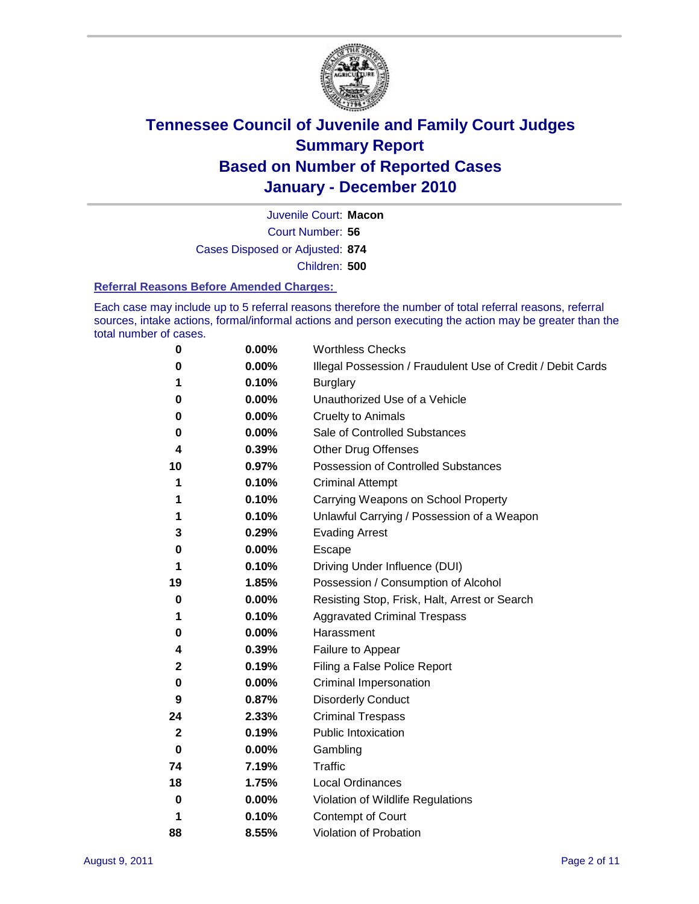

Court Number: **56** Juvenile Court: **Macon** Cases Disposed or Adjusted: **874** Children: **500**

#### **Referral Reasons Before Amended Charges:**

Each case may include up to 5 referral reasons therefore the number of total referral reasons, referral sources, intake actions, formal/informal actions and person executing the action may be greater than the total number of cases.

| 0        | 0.00% | <b>Worthless Checks</b>                                     |  |  |
|----------|-------|-------------------------------------------------------------|--|--|
| 0        | 0.00% | Illegal Possession / Fraudulent Use of Credit / Debit Cards |  |  |
| 1        | 0.10% | <b>Burglary</b>                                             |  |  |
| 0        | 0.00% | Unauthorized Use of a Vehicle                               |  |  |
| 0        | 0.00% | <b>Cruelty to Animals</b>                                   |  |  |
| 0        | 0.00% | Sale of Controlled Substances                               |  |  |
| 4        | 0.39% | <b>Other Drug Offenses</b>                                  |  |  |
| 10       | 0.97% | Possession of Controlled Substances                         |  |  |
| 1        | 0.10% | <b>Criminal Attempt</b>                                     |  |  |
| 1        | 0.10% | Carrying Weapons on School Property                         |  |  |
| 1        | 0.10% | Unlawful Carrying / Possession of a Weapon                  |  |  |
| 3        | 0.29% | <b>Evading Arrest</b>                                       |  |  |
| 0        | 0.00% | Escape                                                      |  |  |
| 1        | 0.10% | Driving Under Influence (DUI)                               |  |  |
| 19       | 1.85% | Possession / Consumption of Alcohol                         |  |  |
| 0        | 0.00% | Resisting Stop, Frisk, Halt, Arrest or Search               |  |  |
| 1        | 0.10% | <b>Aggravated Criminal Trespass</b>                         |  |  |
| 0        | 0.00% | Harassment                                                  |  |  |
| 4        | 0.39% | Failure to Appear                                           |  |  |
| 2        | 0.19% | Filing a False Police Report                                |  |  |
| 0        | 0.00% | Criminal Impersonation                                      |  |  |
| 9        | 0.87% | <b>Disorderly Conduct</b>                                   |  |  |
| 24       | 2.33% | <b>Criminal Trespass</b>                                    |  |  |
| 2        | 0.19% | <b>Public Intoxication</b>                                  |  |  |
| 0        | 0.00% | Gambling                                                    |  |  |
| 74       | 7.19% | Traffic                                                     |  |  |
| 18       | 1.75% | <b>Local Ordinances</b>                                     |  |  |
| $\bf{0}$ | 0.00% | Violation of Wildlife Regulations                           |  |  |
| 1        | 0.10% | Contempt of Court                                           |  |  |
| 88       | 8.55% | Violation of Probation                                      |  |  |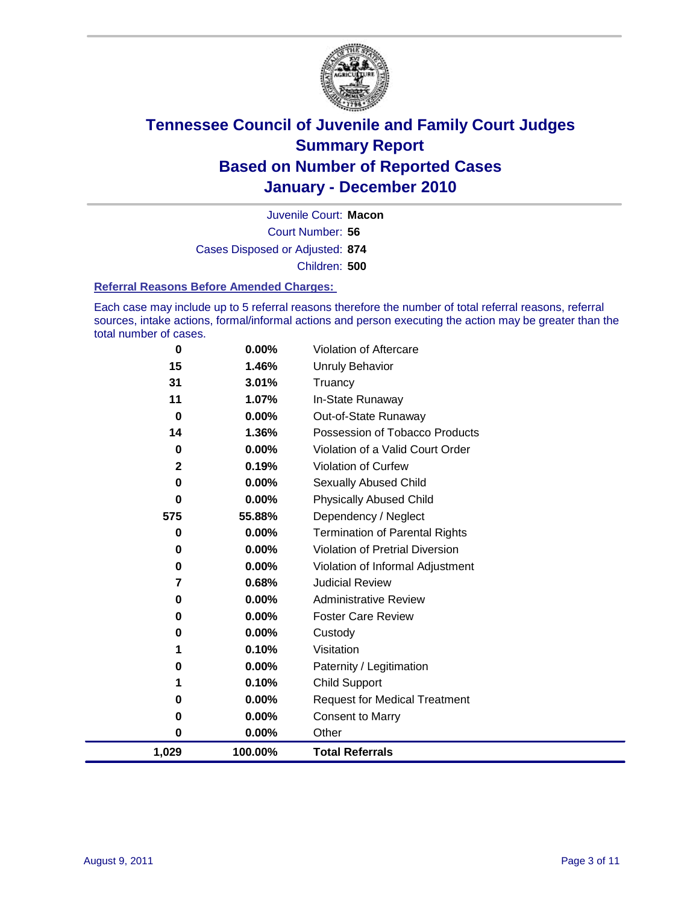

Court Number: **56** Juvenile Court: **Macon** Cases Disposed or Adjusted: **874** Children: **500**

#### **Referral Reasons Before Amended Charges:**

Each case may include up to 5 referral reasons therefore the number of total referral reasons, referral sources, intake actions, formal/informal actions and person executing the action may be greater than the total number of cases.

| $\bf{0}$ | 0.00%    | Violation of Aftercare                 |
|----------|----------|----------------------------------------|
| 15       | 1.46%    | Unruly Behavior                        |
| 31       | 3.01%    | Truancy                                |
| 11       | 1.07%    | In-State Runaway                       |
| 0        | $0.00\%$ | Out-of-State Runaway                   |
| 14       | 1.36%    | Possession of Tobacco Products         |
| 0        | $0.00\%$ | Violation of a Valid Court Order       |
| 2        | 0.19%    | Violation of Curfew                    |
| $\bf{0}$ | $0.00\%$ | Sexually Abused Child                  |
| 0        | $0.00\%$ | <b>Physically Abused Child</b>         |
| 575      | 55.88%   | Dependency / Neglect                   |
| 0        | 0.00%    | <b>Termination of Parental Rights</b>  |
| 0        | 0.00%    | <b>Violation of Pretrial Diversion</b> |
| 0        | 0.00%    | Violation of Informal Adjustment       |
| 7        | 0.68%    | <b>Judicial Review</b>                 |
| 0        | 0.00%    | <b>Administrative Review</b>           |
| 0        | $0.00\%$ | <b>Foster Care Review</b>              |
| 0        | $0.00\%$ | Custody                                |
| 1        | 0.10%    | Visitation                             |
| 0        | 0.00%    | Paternity / Legitimation               |
| 1        | 0.10%    | <b>Child Support</b>                   |
| 0        | 0.00%    | <b>Request for Medical Treatment</b>   |
| 0        | 0.00%    | <b>Consent to Marry</b>                |
| $\bf{0}$ | 0.00%    | Other                                  |
| 1,029    | 100.00%  | <b>Total Referrals</b>                 |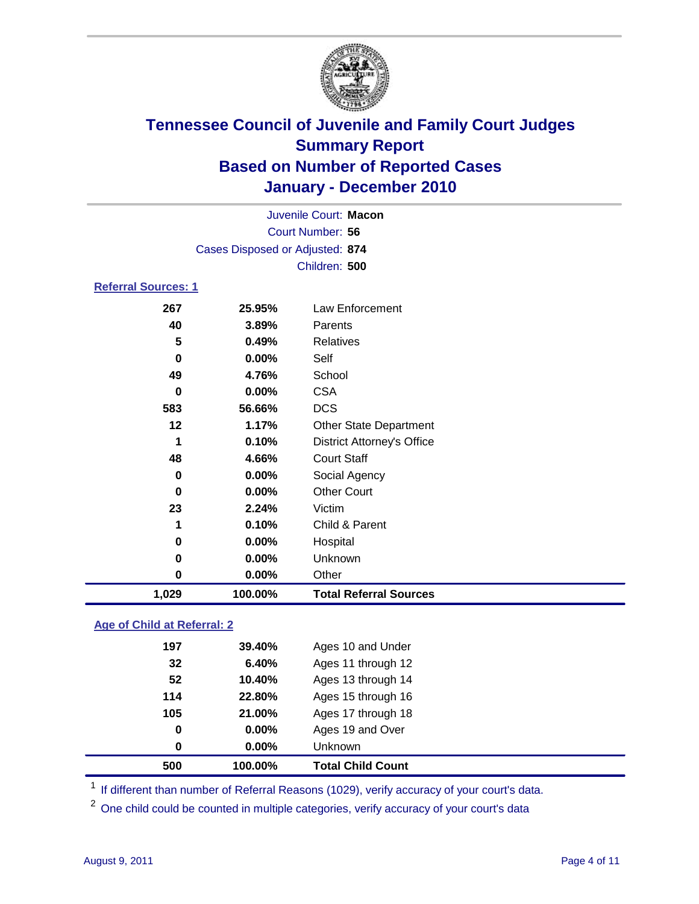

|                            | Juvenile Court: Macon           |                                   |  |  |  |
|----------------------------|---------------------------------|-----------------------------------|--|--|--|
|                            | Court Number: 56                |                                   |  |  |  |
|                            | Cases Disposed or Adjusted: 874 |                                   |  |  |  |
| Children: 500              |                                 |                                   |  |  |  |
| <b>Referral Sources: 1</b> |                                 |                                   |  |  |  |
| 267                        | 25.95%                          | Law Enforcement                   |  |  |  |
| 40                         | 3.89%                           | Parents                           |  |  |  |
| 5                          | 0.49%                           | <b>Relatives</b>                  |  |  |  |
| $\bf{0}$                   | 0.00%                           | Self                              |  |  |  |
| 49                         | 4.76%                           | School                            |  |  |  |
| $\bf{0}$                   | 0.00%                           | <b>CSA</b>                        |  |  |  |
| 583                        | 56.66%                          | <b>DCS</b>                        |  |  |  |
| 12                         | 1.17%                           | <b>Other State Department</b>     |  |  |  |
| 1                          | 0.10%                           | <b>District Attorney's Office</b> |  |  |  |
| 48                         | 4.66%                           | <b>Court Staff</b>                |  |  |  |
| $\bf{0}$                   | 0.00%                           | Social Agency                     |  |  |  |
| $\bf{0}$                   | 0.00%                           | <b>Other Court</b>                |  |  |  |
| 23                         | 2.24%                           | Victim                            |  |  |  |
| 1                          | 0.10%                           | Child & Parent                    |  |  |  |
| 0                          | 0.00%                           | Hospital                          |  |  |  |
| 0                          | 0.00%                           | Unknown                           |  |  |  |
| $\bf{0}$                   | 0.00%                           | Other                             |  |  |  |
| 1,029                      | 100.00%                         | <b>Total Referral Sources</b>     |  |  |  |

### **Age of Child at Referral: 2**

| 0<br>$\bf{0}$ | 21.00%<br>$0.00\%$<br>$0.00\%$ | Ages 19 and Over<br>Unknown |
|---------------|--------------------------------|-----------------------------|
|               |                                |                             |
|               |                                |                             |
| 105           |                                | Ages 17 through 18          |
| 114           | 22.80%                         | Ages 15 through 16          |
| 52            | 10.40%                         | Ages 13 through 14          |
|               | 6.40%                          | Ages 11 through 12          |
|               |                                |                             |
|               | 32                             |                             |

<sup>1</sup> If different than number of Referral Reasons (1029), verify accuracy of your court's data.

<sup>2</sup> One child could be counted in multiple categories, verify accuracy of your court's data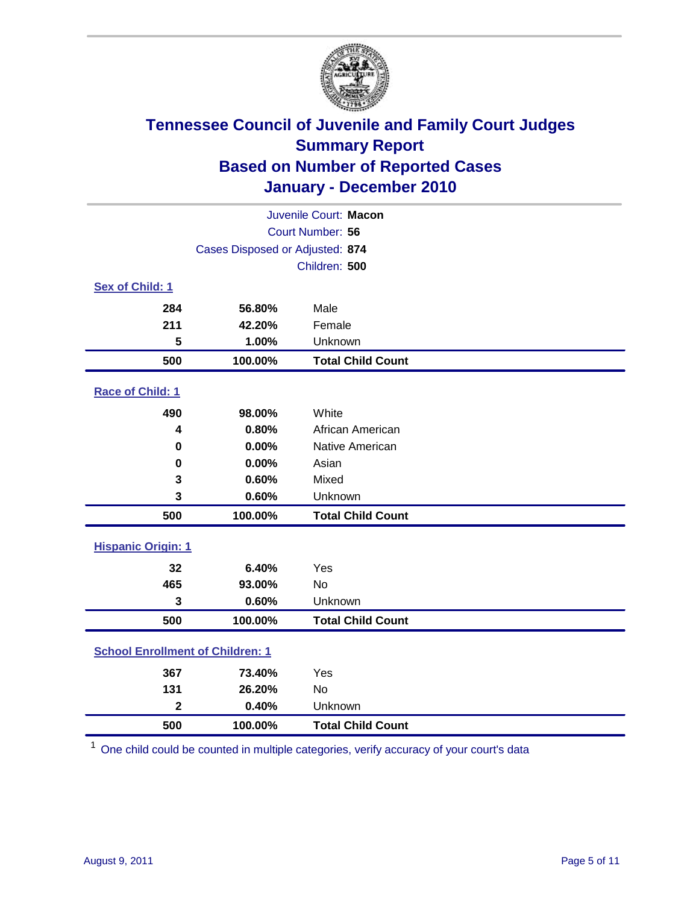

| Juvenile Court: Macon                   |                                 |                          |  |  |  |
|-----------------------------------------|---------------------------------|--------------------------|--|--|--|
| Court Number: 56                        |                                 |                          |  |  |  |
|                                         | Cases Disposed or Adjusted: 874 |                          |  |  |  |
|                                         | Children: 500                   |                          |  |  |  |
| Sex of Child: 1                         |                                 |                          |  |  |  |
| 284                                     | 56.80%                          | Male                     |  |  |  |
| 211                                     | 42.20%                          | Female                   |  |  |  |
| 5                                       | 1.00%                           | Unknown                  |  |  |  |
| 500                                     | 100.00%                         | <b>Total Child Count</b> |  |  |  |
| Race of Child: 1                        |                                 |                          |  |  |  |
| 490                                     | 98.00%                          | White                    |  |  |  |
| 4                                       | 0.80%                           | African American         |  |  |  |
| 0                                       | 0.00%                           | Native American          |  |  |  |
| 0                                       | 0.00%                           | Asian                    |  |  |  |
| 3                                       | 0.60%                           | Mixed                    |  |  |  |
| 3                                       | 0.60%                           | Unknown                  |  |  |  |
| 500                                     | 100.00%                         | <b>Total Child Count</b> |  |  |  |
| <b>Hispanic Origin: 1</b>               |                                 |                          |  |  |  |
| 32                                      | 6.40%                           | Yes                      |  |  |  |
| 465                                     | 93.00%                          | No                       |  |  |  |
| 3                                       | 0.60%                           | Unknown                  |  |  |  |
| 500                                     | 100.00%                         | <b>Total Child Count</b> |  |  |  |
| <b>School Enrollment of Children: 1</b> |                                 |                          |  |  |  |
| 367                                     | 73.40%                          | Yes                      |  |  |  |
| 131                                     | 26.20%                          | No                       |  |  |  |
| $\overline{\mathbf{2}}$                 | 0.40%                           | Unknown                  |  |  |  |
| 500                                     | 100.00%                         | <b>Total Child Count</b> |  |  |  |

One child could be counted in multiple categories, verify accuracy of your court's data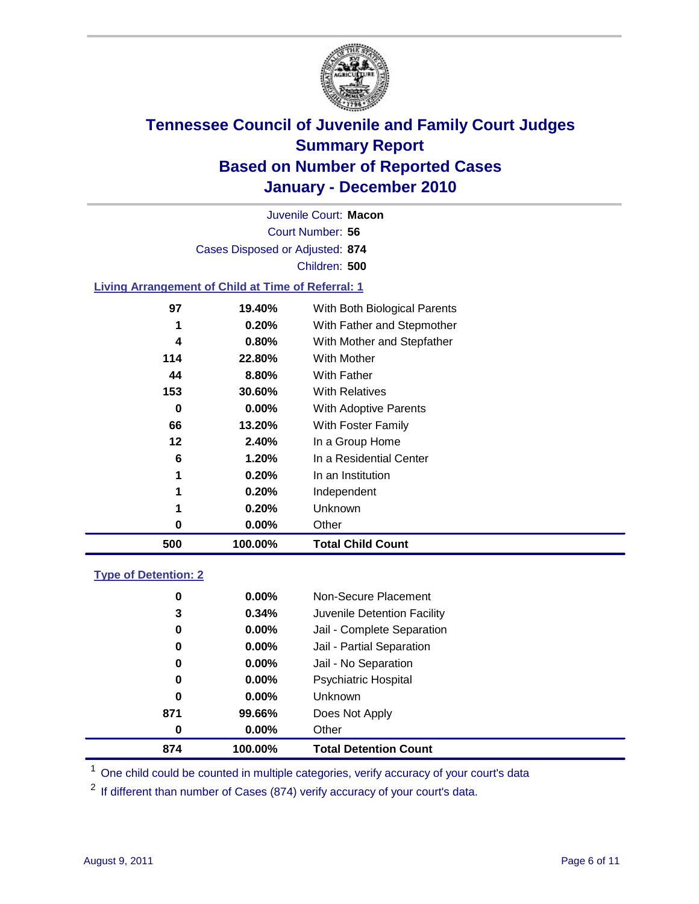

Court Number: **56** Juvenile Court: **Macon** Cases Disposed or Adjusted: **874** Children: **500**

### **Living Arrangement of Child at Time of Referral: 1**

| 500 | 100.00% | <b>Total Child Count</b>     |
|-----|---------|------------------------------|
| 0   | 0.00%   | Other                        |
| 1   | 0.20%   | Unknown                      |
| 1   | 0.20%   | Independent                  |
| 1   | 0.20%   | In an Institution            |
| 6   | 1.20%   | In a Residential Center      |
| 12  | 2.40%   | In a Group Home              |
| 66  | 13.20%  | With Foster Family           |
| 0   | 0.00%   | With Adoptive Parents        |
| 153 | 30.60%  | <b>With Relatives</b>        |
| 44  | 8.80%   | With Father                  |
| 114 | 22.80%  | With Mother                  |
| 4   | 0.80%   | With Mother and Stepfather   |
| 1   | 0.20%   | With Father and Stepmother   |
| 97  | 19.40%  | With Both Biological Parents |
|     |         |                              |

### **Type of Detention: 2**

| 874      | 100.00%  | <b>Total Detention Count</b> |  |
|----------|----------|------------------------------|--|
| 0        | $0.00\%$ | Other                        |  |
| 871      | 99.66%   | Does Not Apply               |  |
| 0        | $0.00\%$ | <b>Unknown</b>               |  |
| 0        | 0.00%    | <b>Psychiatric Hospital</b>  |  |
| $\bf{0}$ | 0.00%    | Jail - No Separation         |  |
| 0        | $0.00\%$ | Jail - Partial Separation    |  |
| 0        | $0.00\%$ | Jail - Complete Separation   |  |
| 3        | 0.34%    | Juvenile Detention Facility  |  |
| 0        | $0.00\%$ | Non-Secure Placement         |  |
|          |          |                              |  |

<sup>1</sup> One child could be counted in multiple categories, verify accuracy of your court's data

<sup>2</sup> If different than number of Cases (874) verify accuracy of your court's data.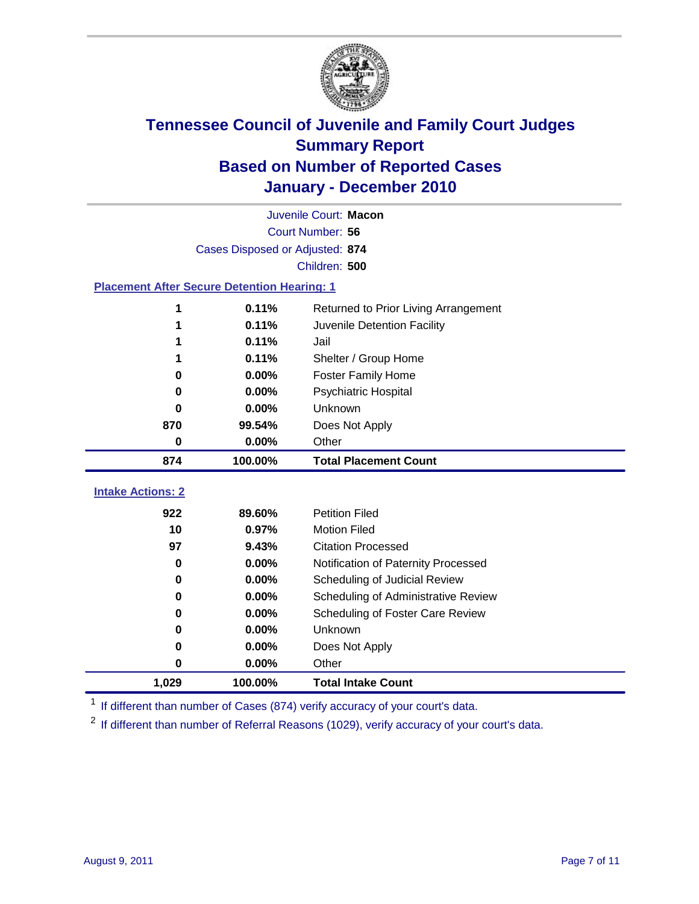

|                                                    | Juvenile Court: Macon                         |                                     |  |  |  |  |
|----------------------------------------------------|-----------------------------------------------|-------------------------------------|--|--|--|--|
|                                                    | Court Number: 56                              |                                     |  |  |  |  |
|                                                    | Cases Disposed or Adjusted: 874               |                                     |  |  |  |  |
|                                                    | Children: 500                                 |                                     |  |  |  |  |
| <b>Placement After Secure Detention Hearing: 1</b> |                                               |                                     |  |  |  |  |
| 1                                                  | 0.11%<br>Returned to Prior Living Arrangement |                                     |  |  |  |  |
| 1                                                  | 0.11%                                         | Juvenile Detention Facility         |  |  |  |  |
|                                                    | 0.11%                                         | Jail                                |  |  |  |  |
|                                                    | 0.11%                                         | Shelter / Group Home                |  |  |  |  |
| 0                                                  | 0.00%                                         | <b>Foster Family Home</b>           |  |  |  |  |
| 0                                                  | 0.00%                                         | Psychiatric Hospital                |  |  |  |  |
| 0                                                  | 0.00%                                         | Unknown                             |  |  |  |  |
| 870                                                | 99.54%                                        | Does Not Apply                      |  |  |  |  |
| $\mathbf 0$                                        | $0.00\%$                                      | Other                               |  |  |  |  |
| 874                                                | 100.00%                                       | <b>Total Placement Count</b>        |  |  |  |  |
|                                                    |                                               |                                     |  |  |  |  |
| <b>Intake Actions: 2</b>                           |                                               |                                     |  |  |  |  |
| 922                                                | 89.60%                                        | <b>Petition Filed</b>               |  |  |  |  |
| 10                                                 | 0.97%                                         | <b>Motion Filed</b>                 |  |  |  |  |
| 97                                                 | 9.43%                                         | <b>Citation Processed</b>           |  |  |  |  |
| 0                                                  | 0.00%                                         | Notification of Paternity Processed |  |  |  |  |
| $\mathbf 0$                                        | 0.00%                                         | Scheduling of Judicial Review       |  |  |  |  |
| 0                                                  | 0.00%                                         | Scheduling of Administrative Review |  |  |  |  |
| 0                                                  | 0.00%                                         | Scheduling of Foster Care Review    |  |  |  |  |
| 0                                                  | 0.00%                                         | Unknown                             |  |  |  |  |
| 0                                                  | 0.00%                                         | Does Not Apply                      |  |  |  |  |
| 0                                                  | 0.00%                                         | Other                               |  |  |  |  |
| 1,029                                              | 100.00%                                       | <b>Total Intake Count</b>           |  |  |  |  |

<sup>1</sup> If different than number of Cases (874) verify accuracy of your court's data.

<sup>2</sup> If different than number of Referral Reasons (1029), verify accuracy of your court's data.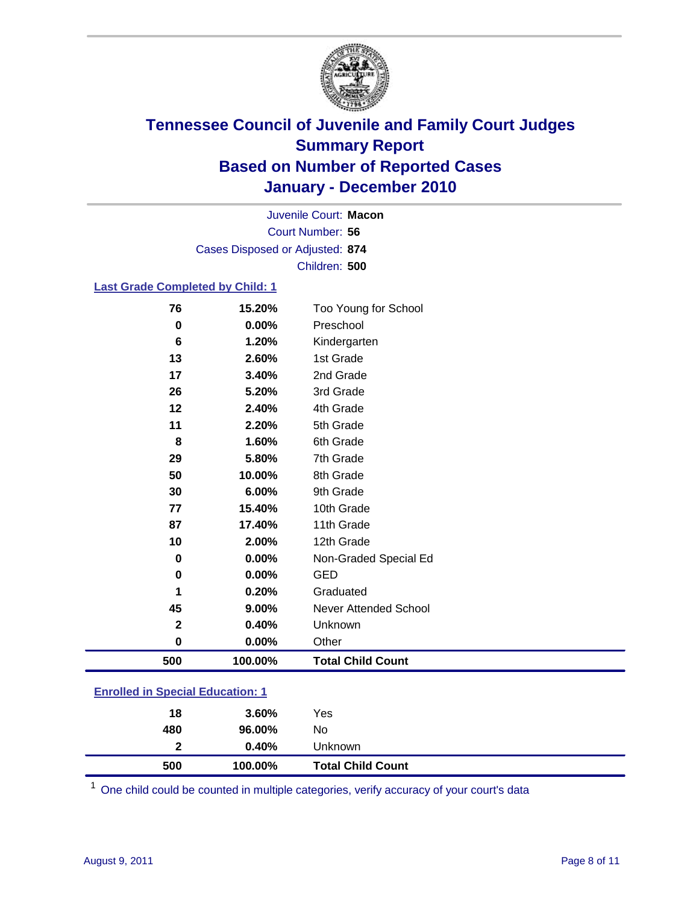

Court Number: **56** Juvenile Court: **Macon** Cases Disposed or Adjusted: **874** Children: **500**

### **Last Grade Completed by Child: 1**

| 500          | 100.00% | <b>Total Child Count</b>     |
|--------------|---------|------------------------------|
| $\pmb{0}$    | 0.00%   | Other                        |
| $\mathbf{2}$ | 0.40%   | Unknown                      |
| 45           | 9.00%   | <b>Never Attended School</b> |
| 1            | 0.20%   | Graduated                    |
| 0            | 0.00%   | <b>GED</b>                   |
| 0            | 0.00%   | Non-Graded Special Ed        |
| 10           | 2.00%   | 12th Grade                   |
| 87           | 17.40%  | 11th Grade                   |
| 77           | 15.40%  | 10th Grade                   |
| 30           | 6.00%   | 9th Grade                    |
| 50           | 10.00%  | 8th Grade                    |
| 29           | 5.80%   | 7th Grade                    |
| 8            | 1.60%   | 6th Grade                    |
| 11           | 2.20%   | 5th Grade                    |
| 12           | 2.40%   | 4th Grade                    |
| 26           | 5.20%   | 3rd Grade                    |
| 17           | 3.40%   | 2nd Grade                    |
| 13           | 2.60%   | 1st Grade                    |
| 6            | 1.20%   | Kindergarten                 |
| 0            | 0.00%   | Preschool                    |
| 76           | 15.20%  | Too Young for School         |

#### **Enrolled in Special Education: 1**

| 500          | 100.00% | <b>Total Child Count</b> |
|--------------|---------|--------------------------|
| $\mathbf{2}$ | 0.40%   | Unknown                  |
| 480          | 96.00%  | No                       |
| 18           | 3.60%   | Yes                      |
|              |         |                          |

One child could be counted in multiple categories, verify accuracy of your court's data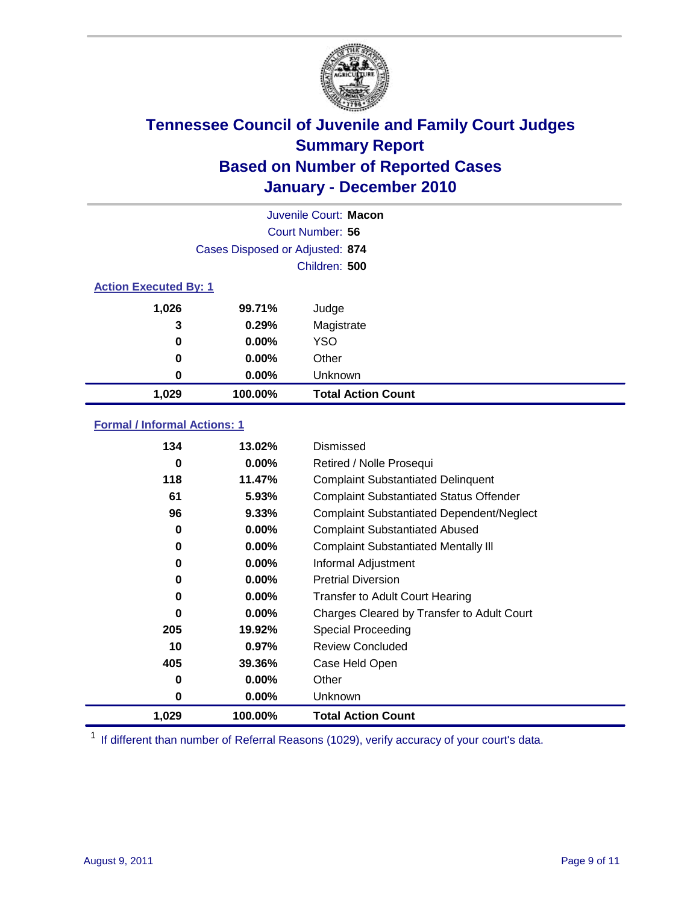

|                              | Juvenile Court: Macon           |                           |  |  |  |
|------------------------------|---------------------------------|---------------------------|--|--|--|
|                              | Court Number: 56                |                           |  |  |  |
|                              | Cases Disposed or Adjusted: 874 |                           |  |  |  |
|                              | Children: 500                   |                           |  |  |  |
| <b>Action Executed By: 1</b> |                                 |                           |  |  |  |
| 1,026                        | 99.71%                          | Judge                     |  |  |  |
| 3                            | 0.29%                           | Magistrate                |  |  |  |
| 0                            | $0.00\%$                        | <b>YSO</b>                |  |  |  |
| 0                            | 0.00%                           | Other                     |  |  |  |
| 0                            | 0.00%                           | Unknown                   |  |  |  |
| 1,029                        | 100.00%                         | <b>Total Action Count</b> |  |  |  |

### **Formal / Informal Actions: 1**

| 134   | 13.02%   | Dismissed                                        |
|-------|----------|--------------------------------------------------|
| 0     | $0.00\%$ | Retired / Nolle Prosequi                         |
| 118   | 11.47%   | <b>Complaint Substantiated Delinquent</b>        |
| 61    | 5.93%    | <b>Complaint Substantiated Status Offender</b>   |
| 96    | 9.33%    | <b>Complaint Substantiated Dependent/Neglect</b> |
| 0     | $0.00\%$ | <b>Complaint Substantiated Abused</b>            |
| 0     | $0.00\%$ | <b>Complaint Substantiated Mentally III</b>      |
| 0     | $0.00\%$ | Informal Adjustment                              |
| 0     | $0.00\%$ | <b>Pretrial Diversion</b>                        |
| 0     | $0.00\%$ | <b>Transfer to Adult Court Hearing</b>           |
| 0     | $0.00\%$ | Charges Cleared by Transfer to Adult Court       |
| 205   | 19.92%   | <b>Special Proceeding</b>                        |
| 10    | 0.97%    | <b>Review Concluded</b>                          |
| 405   | 39.36%   | Case Held Open                                   |
| 0     | $0.00\%$ | Other                                            |
| 0     | $0.00\%$ | <b>Unknown</b>                                   |
| 1,029 | 100.00%  | <b>Total Action Count</b>                        |

<sup>1</sup> If different than number of Referral Reasons (1029), verify accuracy of your court's data.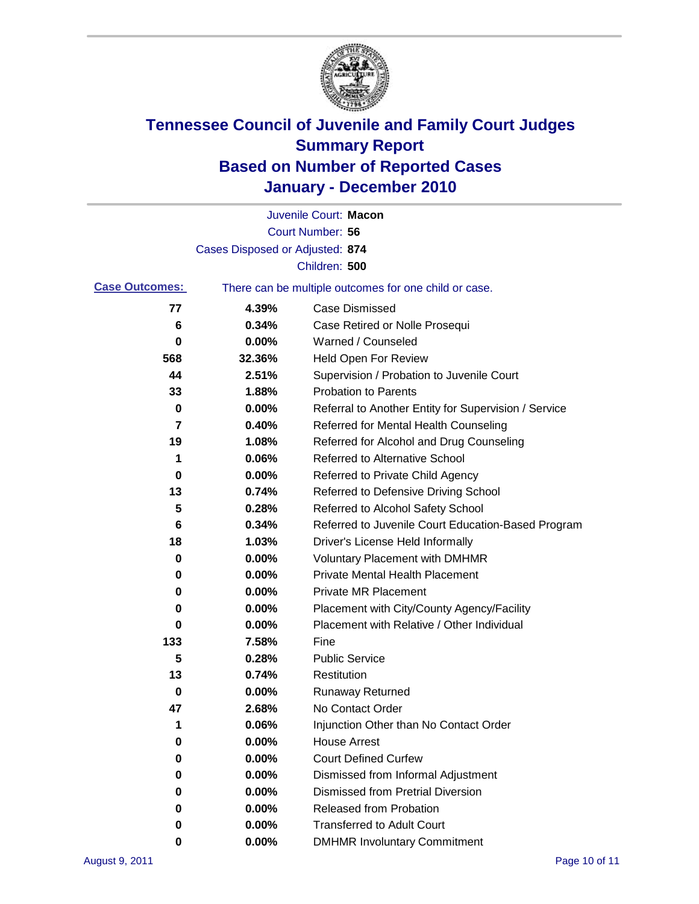

|                       |                                 | Juvenile Court: Macon                                 |
|-----------------------|---------------------------------|-------------------------------------------------------|
|                       |                                 | Court Number: 56                                      |
|                       | Cases Disposed or Adjusted: 874 |                                                       |
|                       |                                 | Children: 500                                         |
| <b>Case Outcomes:</b> |                                 | There can be multiple outcomes for one child or case. |
| 77                    | 4.39%                           | <b>Case Dismissed</b>                                 |
| 6                     | 0.34%                           | Case Retired or Nolle Prosequi                        |
| 0                     | 0.00%                           | Warned / Counseled                                    |
| 568                   | 32.36%                          | Held Open For Review                                  |
| 44                    | 2.51%                           | Supervision / Probation to Juvenile Court             |
| 33                    | 1.88%                           | <b>Probation to Parents</b>                           |
| 0                     | 0.00%                           | Referral to Another Entity for Supervision / Service  |
| 7                     | 0.40%                           | Referred for Mental Health Counseling                 |
| 19                    | 1.08%                           | Referred for Alcohol and Drug Counseling              |
| 1                     | 0.06%                           | <b>Referred to Alternative School</b>                 |
| 0                     | 0.00%                           | Referred to Private Child Agency                      |
| 13                    | 0.74%                           | Referred to Defensive Driving School                  |
| 5                     | 0.28%                           | Referred to Alcohol Safety School                     |
| 6                     | 0.34%                           | Referred to Juvenile Court Education-Based Program    |
| 18                    | 1.03%                           | Driver's License Held Informally                      |
| 0                     | 0.00%                           | <b>Voluntary Placement with DMHMR</b>                 |
| 0                     | 0.00%                           | <b>Private Mental Health Placement</b>                |
| 0                     | 0.00%                           | <b>Private MR Placement</b>                           |
| 0                     | 0.00%                           | Placement with City/County Agency/Facility            |
| 0                     | 0.00%                           | Placement with Relative / Other Individual            |
| 133                   | 7.58%                           | Fine                                                  |
| 5                     | 0.28%                           | <b>Public Service</b>                                 |
| 13                    | 0.74%                           | Restitution                                           |
| 0                     | 0.00%                           | <b>Runaway Returned</b>                               |
| 47                    | 2.68%                           | No Contact Order                                      |
| 1                     | 0.06%                           | Injunction Other than No Contact Order                |
| 0                     | 0.00%                           | <b>House Arrest</b>                                   |
| 0                     | 0.00%                           | <b>Court Defined Curfew</b>                           |
| 0                     | 0.00%                           | Dismissed from Informal Adjustment                    |
| 0                     | 0.00%                           | <b>Dismissed from Pretrial Diversion</b>              |
| 0                     | 0.00%                           | Released from Probation                               |
| 0                     | 0.00%                           | <b>Transferred to Adult Court</b>                     |
| 0                     | $0.00\%$                        | <b>DMHMR Involuntary Commitment</b>                   |